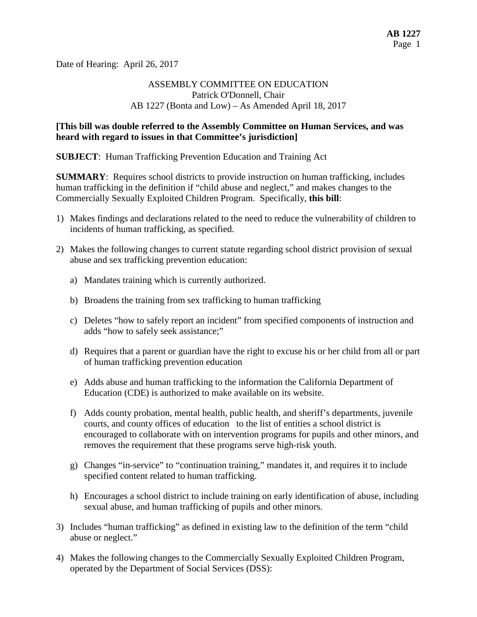Date of Hearing: April 26, 2017

## ASSEMBLY COMMITTEE ON EDUCATION Patrick O'Donnell, Chair AB 1227 (Bonta and Low) – As Amended April 18, 2017

#### **[This bill was double referred to the Assembly Committee on Human Services, and was heard with regard to issues in that Committee's jurisdiction]**

**SUBJECT**: Human Trafficking Prevention Education and Training Act

**SUMMARY**: Requires school districts to provide instruction on human trafficking, includes human trafficking in the definition if "child abuse and neglect," and makes changes to the Commercially Sexually Exploited Children Program. Specifically, **this bill**:

- 1) Makes findings and declarations related to the need to reduce the vulnerability of children to incidents of human trafficking, as specified.
- 2) Makes the following changes to current statute regarding school district provision of sexual abuse and sex trafficking prevention education:
	- a) Mandates training which is currently authorized.
	- b) Broadens the training from sex trafficking to human trafficking
	- c) Deletes "how to safely report an incident" from specified components of instruction and adds "how to safely seek assistance;"
	- d) Requires that a parent or guardian have the right to excuse his or her child from all or part of human trafficking prevention education
	- e) Adds abuse and human trafficking to the information the California Department of Education (CDE) is authorized to make available on its website.
	- f) Adds county probation, mental health, public health, and sheriff's departments, juvenile courts, and county offices of education to the list of entities a school district is encouraged to collaborate with on intervention programs for pupils and other minors, and removes the requirement that these programs serve high-risk youth.
	- g) Changes "in-service" to "continuation training," mandates it, and requires it to include specified content related to human trafficking.
	- h) Encourages a school district to include training on early identification of abuse, including sexual abuse, and human trafficking of pupils and other minors.
- 3) Includes "human trafficking" as defined in existing law to the definition of the term "child abuse or neglect."
- 4) Makes the following changes to the Commercially Sexually Exploited Children Program, operated by the Department of Social Services (DSS):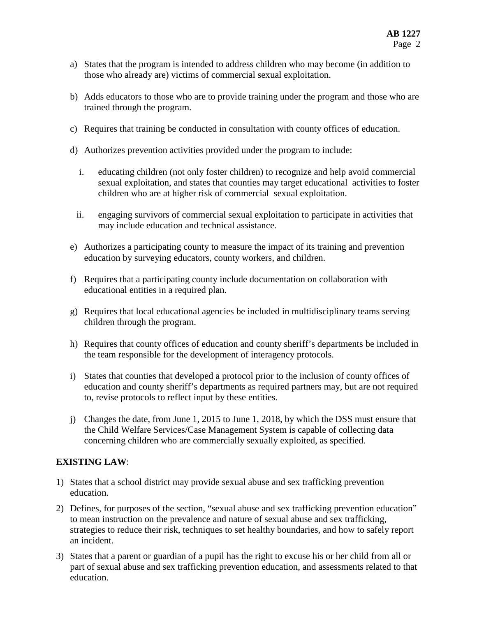- a) States that the program is intended to address children who may become (in addition to those who already are) victims of commercial sexual exploitation.
- b) Adds educators to those who are to provide training under the program and those who are trained through the program.
- c) Requires that training be conducted in consultation with county offices of education.
- d) Authorizes prevention activities provided under the program to include:
	- i. educating children (not only foster children) to recognize and help avoid commercial sexual exploitation, and states that counties may target educational activities to foster children who are at higher risk of commercial sexual exploitation.
- ii. engaging survivors of commercial sexual exploitation to participate in activities that may include education and technical assistance.
- e) Authorizes a participating county to measure the impact of its training and prevention education by surveying educators, county workers, and children.
- f) Requires that a participating county include documentation on collaboration with educational entities in a required plan.
- g) Requires that local educational agencies be included in multidisciplinary teams serving children through the program.
- h) Requires that county offices of education and county sheriff's departments be included in the team responsible for the development of interagency protocols.
- i) States that counties that developed a protocol prior to the inclusion of county offices of education and county sheriff's departments as required partners may, but are not required to, revise protocols to reflect input by these entities.
- j) Changes the date, from June 1, 2015 to June 1, 2018, by which the DSS must ensure that the Child Welfare Services/Case Management System is capable of collecting data concerning children who are commercially sexually exploited, as specified.

#### **EXISTING LAW**:

- 1) States that a school district may provide sexual abuse and sex trafficking prevention education.
- 2) Defines, for purposes of the section, "sexual abuse and sex trafficking prevention education" to mean instruction on the prevalence and nature of sexual abuse and sex trafficking, strategies to reduce their risk, techniques to set healthy boundaries, and how to safely report an incident.
- 3) States that a parent or guardian of a pupil has the right to excuse his or her child from all or part of sexual abuse and sex trafficking prevention education, and assessments related to that education.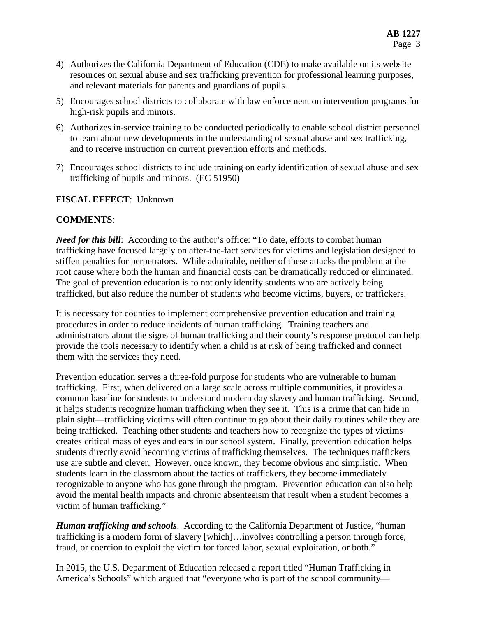- 4) Authorizes the California Department of Education (CDE) to make available on its website resources on sexual abuse and sex trafficking prevention for professional learning purposes, and relevant materials for parents and guardians of pupils.
- 5) Encourages school districts to collaborate with law enforcement on intervention programs for high-risk pupils and minors.
- 6) Authorizes in-service training to be conducted periodically to enable school district personnel to learn about new developments in the understanding of sexual abuse and sex trafficking, and to receive instruction on current prevention efforts and methods.
- 7) Encourages school districts to include training on early identification of sexual abuse and sex trafficking of pupils and minors. (EC 51950)

# **FISCAL EFFECT**: Unknown

## **COMMENTS**:

*Need for this bill:* According to the author's office: "To date, efforts to combat human trafficking have focused largely on after-the-fact services for victims and legislation designed to stiffen penalties for perpetrators. While admirable, neither of these attacks the problem at the root cause where both the human and financial costs can be dramatically reduced or eliminated. The goal of prevention education is to not only identify students who are actively being trafficked, but also reduce the number of students who become victims, buyers, or traffickers.

It is necessary for counties to implement comprehensive prevention education and training procedures in order to reduce incidents of human trafficking. Training teachers and administrators about the signs of human trafficking and their county's response protocol can help provide the tools necessary to identify when a child is at risk of being trafficked and connect them with the services they need.

Prevention education serves a three-fold purpose for students who are vulnerable to human trafficking. First, when delivered on a large scale across multiple communities, it provides a common baseline for students to understand modern day slavery and human trafficking. Second, it helps students recognize human trafficking when they see it. This is a crime that can hide in plain sight—trafficking victims will often continue to go about their daily routines while they are being trafficked. Teaching other students and teachers how to recognize the types of victims creates critical mass of eyes and ears in our school system. Finally, prevention education helps students directly avoid becoming victims of trafficking themselves. The techniques traffickers use are subtle and clever. However, once known, they become obvious and simplistic. When students learn in the classroom about the tactics of traffickers, they become immediately recognizable to anyone who has gone through the program. Prevention education can also help avoid the mental health impacts and chronic absenteeism that result when a student becomes a victim of human trafficking."

*Human trafficking and schools*. According to the California Department of Justice, "human trafficking is a modern form of slavery [which]…involves controlling a person through force, fraud, or coercion to exploit the victim for forced labor, sexual exploitation, or both."

In 2015, the U.S. Department of Education released a report titled "Human Trafficking in America's Schools" which argued that "everyone who is part of the school community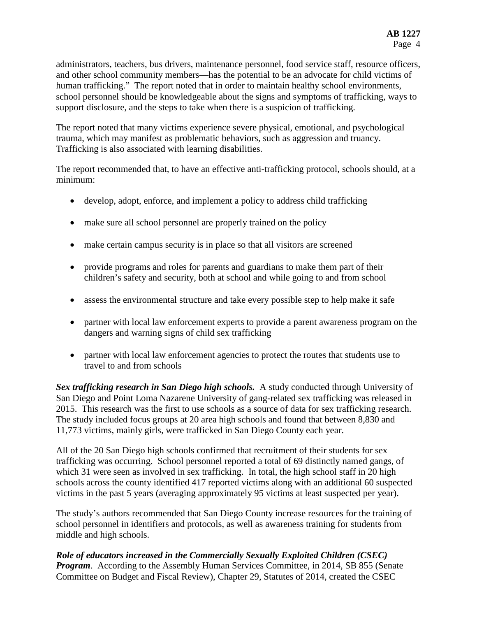administrators, teachers, bus drivers, maintenance personnel, food service staff, resource officers, and other school community members—has the potential to be an advocate for child victims of human trafficking." The report noted that in order to maintain healthy school environments, school personnel should be knowledgeable about the signs and symptoms of trafficking, ways to support disclosure, and the steps to take when there is a suspicion of trafficking.

The report noted that many victims experience severe physical, emotional, and psychological trauma, which may manifest as problematic behaviors, such as aggression and truancy. Trafficking is also associated with learning disabilities.

The report recommended that, to have an effective anti-trafficking protocol, schools should, at a minimum:

- develop, adopt, enforce, and implement a policy to address child trafficking
- make sure all school personnel are properly trained on the policy
- make certain campus security is in place so that all visitors are screened
- provide programs and roles for parents and guardians to make them part of their children's safety and security, both at school and while going to and from school
- assess the environmental structure and take every possible step to help make it safe
- partner with local law enforcement experts to provide a parent awareness program on the dangers and warning signs of child sex trafficking
- partner with local law enforcement agencies to protect the routes that students use to travel to and from schools

*Sex trafficking research in San Diego high schools.* A study conducted through University of San Diego and Point Loma Nazarene University of gang-related sex trafficking was released in 2015. This research was the first to use schools as a source of data for sex trafficking research. The study included focus groups at 20 area high schools and found that between 8,830 and 11,773 victims, mainly girls, were trafficked in San Diego County each year.

All of the 20 San Diego high schools confirmed that recruitment of their students for sex trafficking was occurring. School personnel reported a total of 69 distinctly named gangs, of which 31 were seen as involved in sex trafficking. In total, the high school staff in 20 high schools across the county identified 417 reported victims along with an additional 60 suspected victims in the past 5 years (averaging approximately 95 victims at least suspected per year).

The study's authors recommended that San Diego County increase resources for the training of school personnel in identifiers and protocols, as well as awareness training for students from middle and high schools.

*Role of educators increased in the Commercially Sexually Exploited Children (CSEC) Program.* According to the Assembly Human Services Committee, in 2014, SB 855 (Senate Committee on Budget and Fiscal Review), Chapter 29, Statutes of 2014, created the CSEC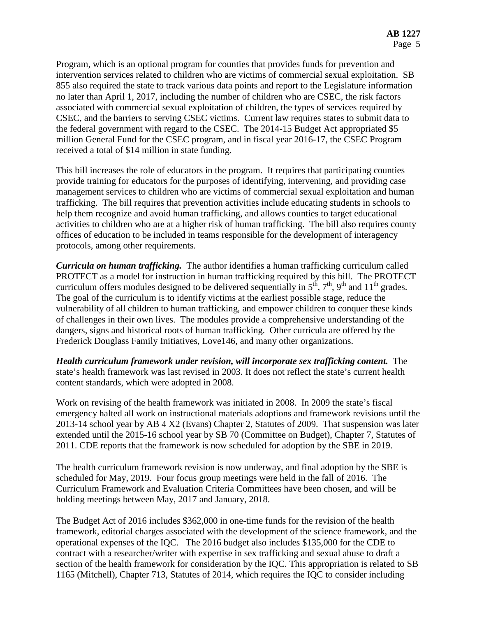Program, which is an optional program for counties that provides funds for prevention and intervention services related to children who are victims of commercial sexual exploitation. SB 855 also required the state to track various data points and report to the Legislature information no later than April 1, 2017, including the number of children who are CSEC, the risk factors associated with commercial sexual exploitation of children, the types of services required by CSEC, and the barriers to serving CSEC victims. Current law requires states to submit data to the federal government with regard to the CSEC. The 2014-15 Budget Act appropriated \$5 million General Fund for the CSEC program, and in fiscal year 2016-17, the CSEC Program received a total of \$14 million in state funding.

This bill increases the role of educators in the program. It requires that participating counties provide training for educators for the purposes of identifying, intervening, and providing case management services to children who are victims of commercial sexual exploitation and human trafficking. The bill requires that prevention activities include educating students in schools to help them recognize and avoid human trafficking, and allows counties to target educational activities to children who are at a higher risk of human trafficking. The bill also requires county offices of education to be included in teams responsible for the development of interagency protocols, among other requirements.

*Curricula on human trafficking.* The author identifies a human trafficking curriculum called PROTECT as a model for instruction in human trafficking required by this bill. The PROTECT curriculum offers modules designed to be delivered sequentially in  $5<sup>th</sup>$ ,  $7<sup>th</sup>$ ,  $9<sup>th</sup>$  and  $11<sup>th</sup>$  grades. The goal of the curriculum is to identify victims at the earliest possible stage, reduce the vulnerability of all children to human trafficking, and empower children to conquer these kinds of challenges in their own lives. The modules provide a comprehensive understanding of the dangers, signs and historical roots of human trafficking. Other curricula are offered by the Frederick Douglass Family Initiatives, Love146, and many other organizations.

*Health curriculum framework under revision, will incorporate sex trafficking content.* The state's health framework was last revised in 2003. It does not reflect the state's current health content standards, which were adopted in 2008.

Work on revising of the health framework was initiated in 2008. In 2009 the state's fiscal emergency halted all work on instructional materials adoptions and framework revisions until the 2013-14 school year by AB 4 X2 (Evans) Chapter 2, Statutes of 2009. That suspension was later extended until the 2015-16 school year by SB 70 (Committee on Budget), Chapter 7, Statutes of 2011. CDE reports that the framework is now scheduled for adoption by the SBE in 2019.

The health curriculum framework revision is now underway, and final adoption by the SBE is scheduled for May, 2019. Four focus group meetings were held in the fall of 2016. The Curriculum Framework and Evaluation Criteria Committees have been chosen, and will be holding meetings between May, 2017 and January, 2018.

The Budget Act of 2016 includes \$362,000 in one-time funds for the revision of the health framework, editorial charges associated with the development of the science framework, and the operational expenses of the IQC. The 2016 budget also includes \$135,000 for the CDE to contract with a researcher/writer with expertise in sex trafficking and sexual abuse to draft a section of the health framework for consideration by the IQC. This appropriation is related to SB 1165 (Mitchell), Chapter 713, Statutes of 2014, which requires the IQC to consider including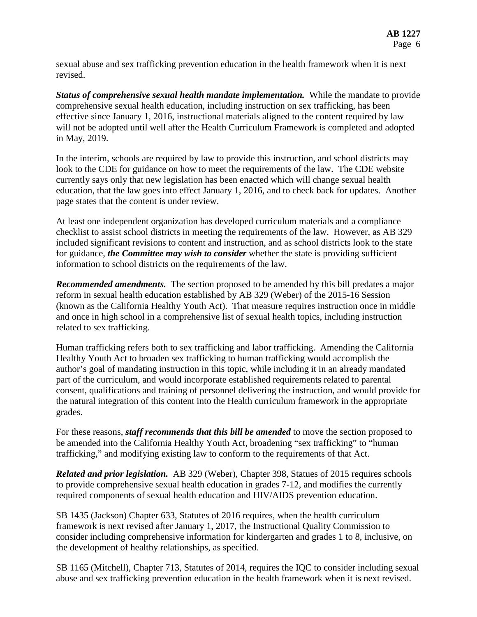sexual abuse and sex trafficking prevention education in the health framework when it is next revised.

*Status of comprehensive sexual health mandate implementation.* While the mandate to provide comprehensive sexual health education, including instruction on sex trafficking, has been effective since January 1, 2016, instructional materials aligned to the content required by law will not be adopted until well after the Health Curriculum Framework is completed and adopted in May, 2019.

In the interim, schools are required by law to provide this instruction, and school districts may look to the CDE for guidance on how to meet the requirements of the law. The CDE website currently says only that new legislation has been enacted which will change sexual health education, that the law goes into effect January 1, 2016, and to check back for updates. Another page states that the content is under review.

At least one independent organization has developed curriculum materials and a compliance checklist to assist school districts in meeting the requirements of the law. However, as AB 329 included significant revisions to content and instruction, and as school districts look to the state for guidance, *the Committee may wish to consider* whether the state is providing sufficient information to school districts on the requirements of the law.

*Recommended amendments.* The section proposed to be amended by this bill predates a major reform in sexual health education established by AB 329 (Weber) of the 2015-16 Session (known as the California Healthy Youth Act). That measure requires instruction once in middle and once in high school in a comprehensive list of sexual health topics, including instruction related to sex trafficking.

Human trafficking refers both to sex trafficking and labor trafficking. Amending the California Healthy Youth Act to broaden sex trafficking to human trafficking would accomplish the author's goal of mandating instruction in this topic, while including it in an already mandated part of the curriculum, and would incorporate established requirements related to parental consent, qualifications and training of personnel delivering the instruction, and would provide for the natural integration of this content into the Health curriculum framework in the appropriate grades.

For these reasons, *staff recommends that this bill be amended* to move the section proposed to be amended into the California Healthy Youth Act, broadening "sex trafficking" to "human trafficking," and modifying existing law to conform to the requirements of that Act.

*Related and prior legislation.* AB 329 (Weber), Chapter 398, Statues of 2015 requires schools to provide comprehensive sexual health education in grades 7-12, and modifies the currently required components of sexual health education and HIV/AIDS prevention education.

SB 1435 (Jackson) Chapter 633, Statutes of 2016 requires, when the health curriculum framework is next revised after January 1, 2017, the Instructional Quality Commission to consider including comprehensive information for kindergarten and grades 1 to 8, inclusive, on the development of healthy relationships, as specified.

SB 1165 (Mitchell), Chapter 713, Statutes of 2014, requires the IQC to consider including sexual abuse and sex trafficking prevention education in the health framework when it is next revised.